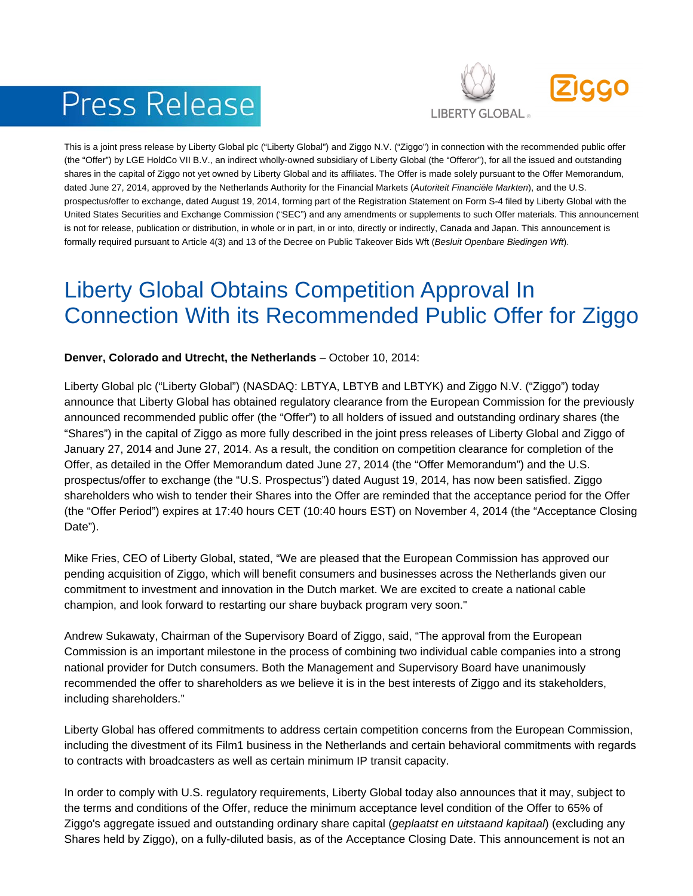# **Press Release**



This is a joint press release by Liberty Global plc ("Liberty Global") and Ziggo N.V. ("Ziggo") in connection with the recommended public offer (the "Offer") by LGE HoldCo VII B.V., an indirect wholly-owned subsidiary of Liberty Global (the "Offeror"), for all the issued and outstanding shares in the capital of Ziggo not yet owned by Liberty Global and its affiliates. The Offer is made solely pursuant to the Offer Memorandum, dated June 27, 2014, approved by the Netherlands Authority for the Financial Markets (*Autoriteit Financiële Markten*), and the U.S. prospectus/offer to exchange, dated August 19, 2014, forming part of the Registration Statement on Form S-4 filed by Liberty Global with the United States Securities and Exchange Commission ("SEC") and any amendments or supplements to such Offer materials. This announcement is not for release, publication or distribution, in whole or in part, in or into, directly or indirectly, Canada and Japan. This announcement is formally required pursuant to Article 4(3) and 13 of the Decree on Public Takeover Bids Wft (*Besluit Openbare Biedingen Wft*).

## Liberty Global Obtains Competition Approval In Connection With its Recommended Public Offer for Ziggo

#### **Denver, Colorado and Utrecht, the Netherlands** – October 10, 2014:

Liberty Global plc ("Liberty Global") (NASDAQ: LBTYA, LBTYB and LBTYK) and Ziggo N.V. ("Ziggo") today announce that Liberty Global has obtained regulatory clearance from the European Commission for the previously announced recommended public offer (the "Offer") to all holders of issued and outstanding ordinary shares (the "Shares") in the capital of Ziggo as more fully described in the joint press releases of Liberty Global and Ziggo of January 27, 2014 and June 27, 2014. As a result, the condition on competition clearance for completion of the Offer, as detailed in the Offer Memorandum dated June 27, 2014 (the "Offer Memorandum") and the U.S. prospectus/offer to exchange (the "U.S. Prospectus") dated August 19, 2014, has now been satisfied. Ziggo shareholders who wish to tender their Shares into the Offer are reminded that the acceptance period for the Offer (the "Offer Period") expires at 17:40 hours CET (10:40 hours EST) on November 4, 2014 (the "Acceptance Closing Date").

Mike Fries, CEO of Liberty Global, stated, "We are pleased that the European Commission has approved our pending acquisition of Ziggo, which will benefit consumers and businesses across the Netherlands given our commitment to investment and innovation in the Dutch market. We are excited to create a national cable champion, and look forward to restarting our share buyback program very soon."

Andrew Sukawaty, Chairman of the Supervisory Board of Ziggo, said, "The approval from the European Commission is an important milestone in the process of combining two individual cable companies into a strong national provider for Dutch consumers. Both the Management and Supervisory Board have unanimously recommended the offer to shareholders as we believe it is in the best interests of Ziggo and its stakeholders, including shareholders."

Liberty Global has offered commitments to address certain competition concerns from the European Commission, including the divestment of its Film1 business in the Netherlands and certain behavioral commitments with regards to contracts with broadcasters as well as certain minimum IP transit capacity.

In order to comply with U.S. regulatory requirements, Liberty Global today also announces that it may, subject to the terms and conditions of the Offer, reduce the minimum acceptance level condition of the Offer to 65% of Ziggo's aggregate issued and outstanding ordinary share capital (*geplaatst en uitstaand kapitaal*) (excluding any Shares held by Ziggo), on a fully-diluted basis, as of the Acceptance Closing Date. This announcement is not an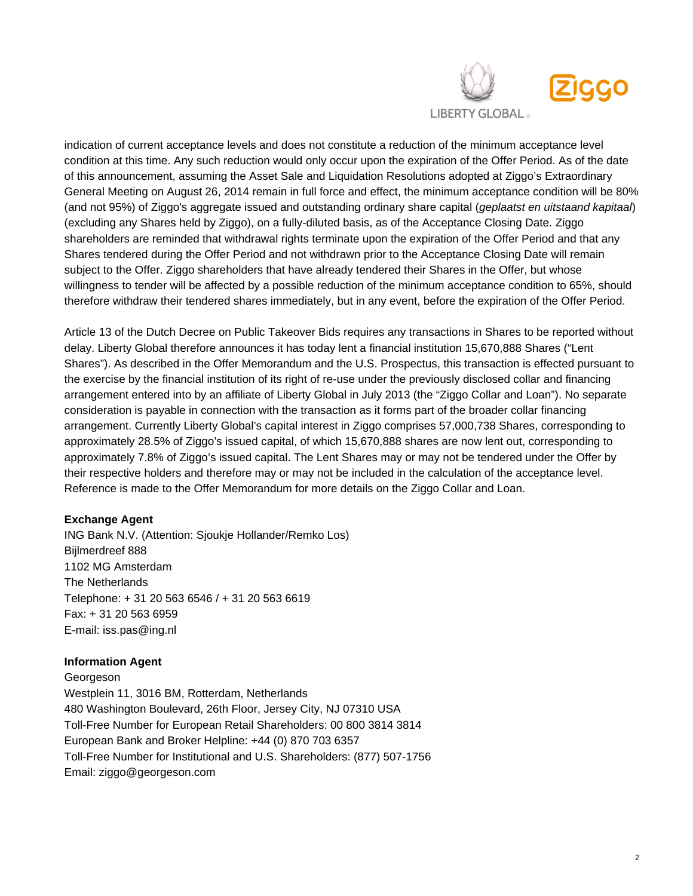

indication of current acceptance levels and does not constitute a reduction of the minimum acceptance level condition at this time. Any such reduction would only occur upon the expiration of the Offer Period. As of the date of this announcement, assuming the Asset Sale and Liquidation Resolutions adopted at Ziggo's Extraordinary General Meeting on August 26, 2014 remain in full force and effect, the minimum acceptance condition will be 80% (and not 95%) of Ziggo's aggregate issued and outstanding ordinary share capital (*geplaatst en uitstaand kapitaal*) (excluding any Shares held by Ziggo), on a fully-diluted basis, as of the Acceptance Closing Date. Ziggo shareholders are reminded that withdrawal rights terminate upon the expiration of the Offer Period and that any Shares tendered during the Offer Period and not withdrawn prior to the Acceptance Closing Date will remain subject to the Offer. Ziggo shareholders that have already tendered their Shares in the Offer, but whose willingness to tender will be affected by a possible reduction of the minimum acceptance condition to 65%, should therefore withdraw their tendered shares immediately, but in any event, before the expiration of the Offer Period.

Article 13 of the Dutch Decree on Public Takeover Bids requires any transactions in Shares to be reported without delay. Liberty Global therefore announces it has today lent a financial institution 15,670,888 Shares ("Lent Shares"). As described in the Offer Memorandum and the U.S. Prospectus, this transaction is effected pursuant to the exercise by the financial institution of its right of re-use under the previously disclosed collar and financing arrangement entered into by an affiliate of Liberty Global in July 2013 (the "Ziggo Collar and Loan"). No separate consideration is payable in connection with the transaction as it forms part of the broader collar financing arrangement. Currently Liberty Global's capital interest in Ziggo comprises 57,000,738 Shares, corresponding to approximately 28.5% of Ziggo's issued capital, of which 15,670,888 shares are now lent out, corresponding to approximately 7.8% of Ziggo's issued capital. The Lent Shares may or may not be tendered under the Offer by their respective holders and therefore may or may not be included in the calculation of the acceptance level. Reference is made to the Offer Memorandum for more details on the Ziggo Collar and Loan.

#### **Exchange Agent**

ING Bank N.V. (Attention: Sjoukje Hollander/Remko Los) Bijlmerdreef 888 1102 MG Amsterdam The Netherlands Telephone: + 31 20 563 6546 / + 31 20 563 6619 Fax: + 31 20 563 6959 E-mail: iss.pas@ing.nl

#### **Information Agent**

Georgeson Westplein 11, 3016 BM, Rotterdam, Netherlands 480 Washington Boulevard, 26th Floor, Jersey City, NJ 07310 USA Toll-Free Number for European Retail Shareholders: 00 800 3814 3814 European Bank and Broker Helpline: +44 (0) 870 703 6357 Toll-Free Number for Institutional and U.S. Shareholders: (877) 507-1756 Email: ziggo@georgeson.com